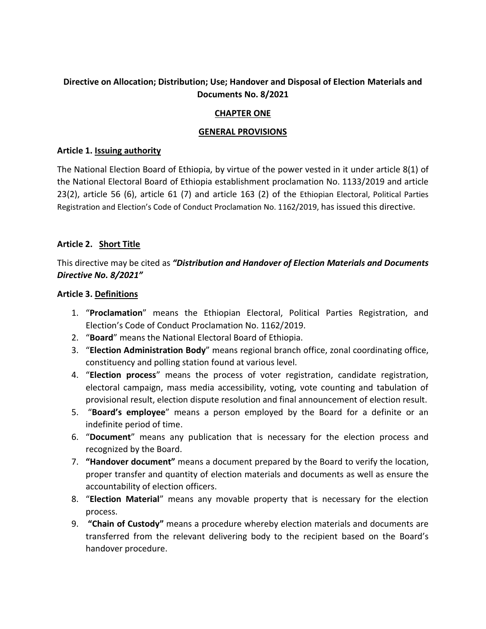# **Directive on Allocation; Distribution; Use; Handover and Disposal of Election Materials and Documents No. 8/2021**

### **CHAPTER ONE**

#### **GENERAL PROVISIONS**

#### **Article 1. Issuing authority**

The National Election Board of Ethiopia, by virtue of the power vested in it under article 8(1) of the National Electoral Board of Ethiopia establishment proclamation No. 1133/2019 and article 23(2), article 56 (6), article 61 (7) and article 163 (2) of the Ethiopian Electoral, Political Parties Registration and Election's Code of Conduct Proclamation No. 1162/2019, has issued this directive.

#### **Article 2. Short Title**

This directive may be cited as *"Distribution and Handover of Election Materials and Documents Directive No. 8/2021"* 

#### **Article 3. Definitions**

- 1. "**Proclamation**" means the Ethiopian Electoral, Political Parties Registration, and Election's Code of Conduct Proclamation No. 1162/2019.
- 2. "**Board**" means the National Electoral Board of Ethiopia.
- 3. "**Election Administration Body**" means regional branch office, zonal coordinating office, constituency and polling station found at various level.
- 4. "**Election process**" means the process of voter registration, candidate registration, electoral campaign, mass media accessibility, voting, vote counting and tabulation of provisional result, election dispute resolution and final announcement of election result.
- 5. "**Board's employee**" means a person employed by the Board for a definite or an indefinite period of time.
- 6. "**Document**" means any publication that is necessary for the election process and recognized by the Board.
- 7. **"Handover document"** means a document prepared by the Board to verify the location, proper transfer and quantity of election materials and documents as well as ensure the accountability of election officers.
- 8. "**Election Material**" means any movable property that is necessary for the election process.
- 9. **"Chain of Custody"** means a procedure whereby election materials and documents are transferred from the relevant delivering body to the recipient based on the Board's handover procedure.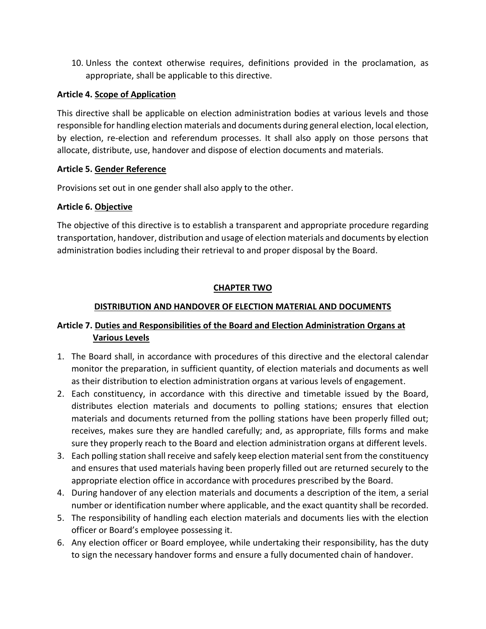10. Unless the context otherwise requires, definitions provided in the proclamation, as appropriate, shall be applicable to this directive.

## **Article 4. Scope of Application**

This directive shall be applicable on election administration bodies at various levels and those responsible for handling election materials and documents during general election, local election, by election, re-election and referendum processes. It shall also apply on those persons that allocate, distribute, use, handover and dispose of election documents and materials.

### **Article 5. Gender Reference**

Provisions set out in one gender shall also apply to the other.

# **Article 6. Objective**

The objective of this directive is to establish a transparent and appropriate procedure regarding transportation, handover, distribution and usage of election materials and documents by election administration bodies including their retrieval to and proper disposal by the Board.

# **CHAPTER TWO**

# **DISTRIBUTION AND HANDOVER OF ELECTION MATERIAL AND DOCUMENTS**

# **Article 7. Duties and Responsibilities of the Board and Election Administration Organs at Various Levels**

- 1. The Board shall, in accordance with procedures of this directive and the electoral calendar monitor the preparation, in sufficient quantity, of election materials and documents as well as their distribution to election administration organs at various levels of engagement.
- 2. Each constituency, in accordance with this directive and timetable issued by the Board, distributes election materials and documents to polling stations; ensures that election materials and documents returned from the polling stations have been properly filled out; receives, makes sure they are handled carefully; and, as appropriate, fills forms and make sure they properly reach to the Board and election administration organs at different levels.
- 3. Each polling station shall receive and safely keep election material sent from the constituency and ensures that used materials having been properly filled out are returned securely to the appropriate election office in accordance with procedures prescribed by the Board.
- 4. During handover of any election materials and documents a description of the item, a serial number or identification number where applicable, and the exact quantity shall be recorded.
- 5. The responsibility of handling each election materials and documents lies with the election officer or Board's employee possessing it.
- 6. Any election officer or Board employee, while undertaking their responsibility, has the duty to sign the necessary handover forms and ensure a fully documented chain of handover.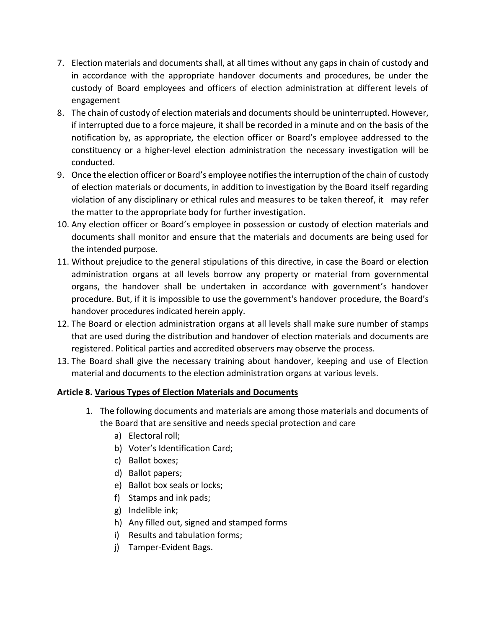- 7. Election materials and documents shall, at all times without any gaps in chain of custody and in accordance with the appropriate handover documents and procedures, be under the custody of Board employees and officers of election administration at different levels of engagement
- 8. The chain of custody of election materials and documents should be uninterrupted. However, if interrupted due to a force majeure, it shall be recorded in a minute and on the basis of the notification by, as appropriate, the election officer or Board's employee addressed to the constituency or a higher-level election administration the necessary investigation will be conducted.
- 9. Once the election officer or Board's employee notifies the interruption of the chain of custody of election materials or documents, in addition to investigation by the Board itself regarding violation of any disciplinary or ethical rules and measures to be taken thereof, it may refer the matter to the appropriate body for further investigation.
- 10. Any election officer or Board's employee in possession or custody of election materials and documents shall monitor and ensure that the materials and documents are being used for the intended purpose.
- 11. Without prejudice to the general stipulations of this directive, in case the Board or election administration organs at all levels borrow any property or material from governmental organs, the handover shall be undertaken in accordance with government's handover procedure. But, if it is impossible to use the government's handover procedure, the Board's handover procedures indicated herein apply.
- 12. The Board or election administration organs at all levels shall make sure number of stamps that are used during the distribution and handover of election materials and documents are registered. Political parties and accredited observers may observe the process.
- 13. The Board shall give the necessary training about handover, keeping and use of Election material and documents to the election administration organs at various levels.

# **Article 8. Various Types of Election Materials and Documents**

- 1. The following documents and materials are among those materials and documents of the Board that are sensitive and needs special protection and care
	- a) Electoral roll;
	- b) Voter's Identification Card;
	- c) Ballot boxes;
	- d) Ballot papers;
	- e) Ballot box seals or locks;
	- f) Stamps and ink pads;
	- g) Indelible ink;
	- h) Any filled out, signed and stamped forms
	- i) Results and tabulation forms;
	- j) Tamper-Evident Bags.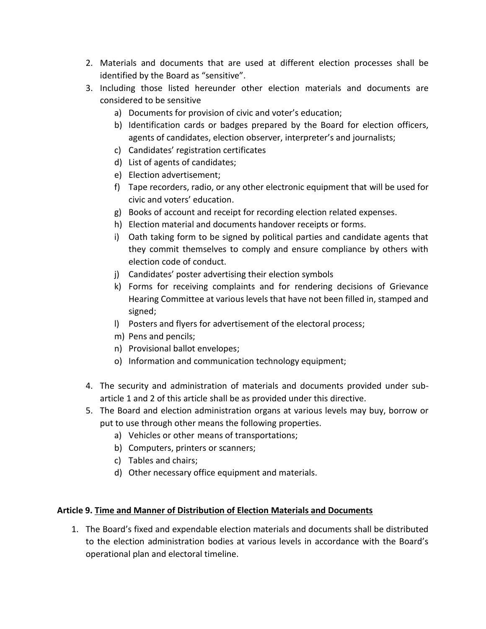- 2. Materials and documents that are used at different election processes shall be identified by the Board as "sensitive".
- 3. Including those listed hereunder other election materials and documents are considered to be sensitive
	- a) Documents for provision of civic and voter's education;
	- b) Identification cards or badges prepared by the Board for election officers, agents of candidates, election observer, interpreter's and journalists;
	- c) Candidates' registration certificates
	- d) List of agents of candidates;
	- e) Election advertisement;
	- f) Tape recorders, radio, or any other electronic equipment that will be used for civic and voters' education.
	- g) Books of account and receipt for recording election related expenses.
	- h) Election material and documents handover receipts or forms.
	- i) Oath taking form to be signed by political parties and candidate agents that they commit themselves to comply and ensure compliance by others with election code of conduct.
	- j) Candidates' poster advertising their election symbols
	- k) Forms for receiving complaints and for rendering decisions of Grievance Hearing Committee at various levels that have not been filled in, stamped and signed;
	- l) Posters and flyers for advertisement of the electoral process;
	- m) Pens and pencils;
	- n) Provisional ballot envelopes;
	- o) Information and communication technology equipment;
- 4. The security and administration of materials and documents provided under subarticle 1 and 2 of this article shall be as provided under this directive.
- 5. The Board and election administration organs at various levels may buy, borrow or put to use through other means the following properties.
	- a) Vehicles or other means of transportations;
	- b) Computers, printers or scanners;
	- c) Tables and chairs;
	- d) Other necessary office equipment and materials.

### **Article 9. Time and Manner of Distribution of Election Materials and Documents**

1. The Board's fixed and expendable election materials and documents shall be distributed to the election administration bodies at various levels in accordance with the Board's operational plan and electoral timeline.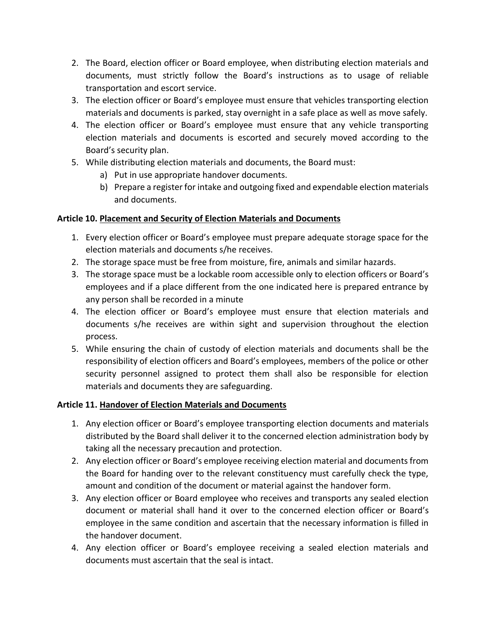- 2. The Board, election officer or Board employee, when distributing election materials and documents, must strictly follow the Board's instructions as to usage of reliable transportation and escort service.
- 3. The election officer or Board's employee must ensure that vehicles transporting election materials and documents is parked, stay overnight in a safe place as well as move safely.
- 4. The election officer or Board's employee must ensure that any vehicle transporting election materials and documents is escorted and securely moved according to the Board's security plan.
- 5. While distributing election materials and documents, the Board must:
	- a) Put in use appropriate handover documents.
	- b) Prepare a register for intake and outgoing fixed and expendable election materials and documents.

### **Article 10. Placement and Security of Election Materials and Documents**

- 1. Every election officer or Board's employee must prepare adequate storage space for the election materials and documents s/he receives.
- 2. The storage space must be free from moisture, fire, animals and similar hazards.
- 3. The storage space must be a lockable room accessible only to election officers or Board's employees and if a place different from the one indicated here is prepared entrance by any person shall be recorded in a minute
- 4. The election officer or Board's employee must ensure that election materials and documents s/he receives are within sight and supervision throughout the election process.
- 5. While ensuring the chain of custody of election materials and documents shall be the responsibility of election officers and Board's employees, members of the police or other security personnel assigned to protect them shall also be responsible for election materials and documents they are safeguarding.

### **Article 11. Handover of Election Materials and Documents**

- 1. Any election officer or Board's employee transporting election documents and materials distributed by the Board shall deliver it to the concerned election administration body by taking all the necessary precaution and protection.
- 2. Any election officer or Board's employee receiving election material and documents from the Board for handing over to the relevant constituency must carefully check the type, amount and condition of the document or material against the handover form.
- 3. Any election officer or Board employee who receives and transports any sealed election document or material shall hand it over to the concerned election officer or Board's employee in the same condition and ascertain that the necessary information is filled in the handover document.
- 4. Any election officer or Board's employee receiving a sealed election materials and documents must ascertain that the seal is intact.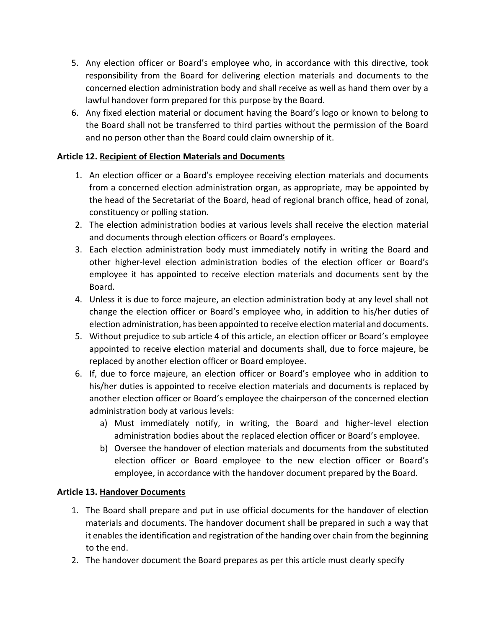- 5. Any election officer or Board's employee who, in accordance with this directive, took responsibility from the Board for delivering election materials and documents to the concerned election administration body and shall receive as well as hand them over by a lawful handover form prepared for this purpose by the Board.
- 6. Any fixed election material or document having the Board's logo or known to belong to the Board shall not be transferred to third parties without the permission of the Board and no person other than the Board could claim ownership of it.

## **Article 12. Recipient of Election Materials and Documents**

- 1. An election officer or a Board's employee receiving election materials and documents from a concerned election administration organ, as appropriate, may be appointed by the head of the Secretariat of the Board, head of regional branch office, head of zonal, constituency or polling station.
- 2. The election administration bodies at various levels shall receive the election material and documents through election officers or Board's employees.
- 3. Each election administration body must immediately notify in writing the Board and other higher-level election administration bodies of the election officer or Board's employee it has appointed to receive election materials and documents sent by the Board.
- 4. Unless it is due to force majeure, an election administration body at any level shall not change the election officer or Board's employee who, in addition to his/her duties of election administration, has been appointed to receive election material and documents.
- 5. Without prejudice to sub article 4 of this article, an election officer or Board's employee appointed to receive election material and documents shall, due to force majeure, be replaced by another election officer or Board employee.
- 6. If, due to force majeure, an election officer or Board's employee who in addition to his/her duties is appointed to receive election materials and documents is replaced by another election officer or Board's employee the chairperson of the concerned election administration body at various levels:
	- a) Must immediately notify, in writing, the Board and higher-level election administration bodies about the replaced election officer or Board's employee.
	- b) Oversee the handover of election materials and documents from the substituted election officer or Board employee to the new election officer or Board's employee, in accordance with the handover document prepared by the Board.

### **Article 13. Handover Documents**

- 1. The Board shall prepare and put in use official documents for the handover of election materials and documents. The handover document shall be prepared in such a way that it enables the identification and registration of the handing over chain from the beginning to the end.
- 2. The handover document the Board prepares as per this article must clearly specify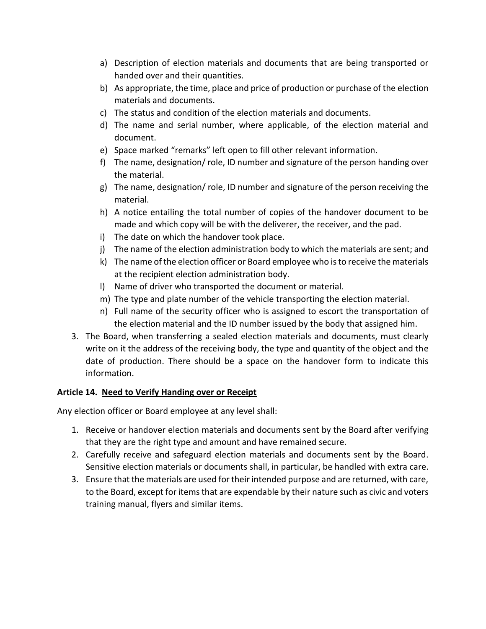- a) Description of election materials and documents that are being transported or handed over and their quantities.
- b) As appropriate, the time, place and price of production or purchase of the election materials and documents.
- c) The status and condition of the election materials and documents.
- d) The name and serial number, where applicable, of the election material and document.
- e) Space marked "remarks" left open to fill other relevant information.
- f) The name, designation/ role, ID number and signature of the person handing over the material.
- g) The name, designation/ role, ID number and signature of the person receiving the material.
- h) A notice entailing the total number of copies of the handover document to be made and which copy will be with the deliverer, the receiver, and the pad.
- i) The date on which the handover took place.
- j) The name of the election administration body to which the materials are sent; and
- k) The name of the election officer or Board employee who is to receive the materials at the recipient election administration body.
- l) Name of driver who transported the document or material.
- m) The type and plate number of the vehicle transporting the election material.
- n) Full name of the security officer who is assigned to escort the transportation of the election material and the ID number issued by the body that assigned him.
- 3. The Board, when transferring a sealed election materials and documents, must clearly write on it the address of the receiving body, the type and quantity of the object and the date of production. There should be a space on the handover form to indicate this information.

# **Article 14. Need to Verify Handing over or Receipt**

Any election officer or Board employee at any level shall:

- 1. Receive or handover election materials and documents sent by the Board after verifying that they are the right type and amount and have remained secure.
- 2. Carefully receive and safeguard election materials and documents sent by the Board. Sensitive election materials or documents shall, in particular, be handled with extra care.
- 3. Ensure that the materials are used for their intended purpose and are returned, with care, to the Board, except for items that are expendable by their nature such as civic and voters training manual, flyers and similar items.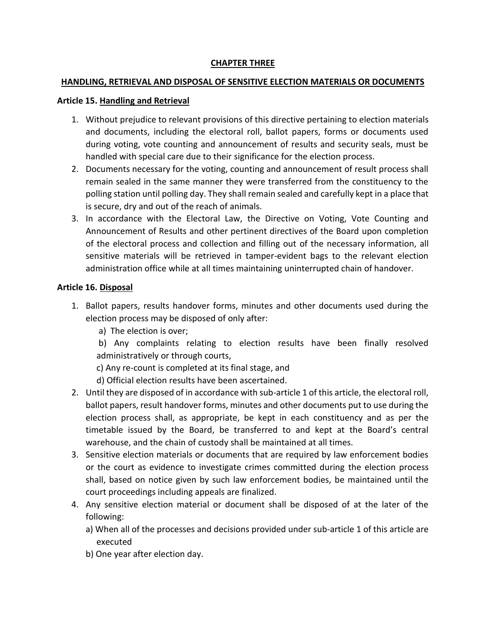### **CHAPTER THREE**

#### **HANDLING, RETRIEVAL AND DISPOSAL OF SENSITIVE ELECTION MATERIALS OR DOCUMENTS**

#### **Article 15. Handling and Retrieval**

- 1. Without prejudice to relevant provisions of this directive pertaining to election materials and documents, including the electoral roll, ballot papers, forms or documents used during voting, vote counting and announcement of results and security seals, must be handled with special care due to their significance for the election process.
- 2. Documents necessary for the voting, counting and announcement of result process shall remain sealed in the same manner they were transferred from the constituency to the polling station until polling day. They shall remain sealed and carefully kept in a place that is secure, dry and out of the reach of animals.
- 3. In accordance with the Electoral Law, the Directive on Voting, Vote Counting and Announcement of Results and other pertinent directives of the Board upon completion of the electoral process and collection and filling out of the necessary information, all sensitive materials will be retrieved in tamper-evident bags to the relevant election administration office while at all times maintaining uninterrupted chain of handover.

#### **Article 16. Disposal**

- 1. Ballot papers, results handover forms, minutes and other documents used during the election process may be disposed of only after:
	- a) The election is over;

 b) Any complaints relating to election results have been finally resolved administratively or through courts,

- c) Any re-count is completed at its final stage, and
- d) Official election results have been ascertained.
- 2. Until they are disposed of in accordance with sub-article 1 of this article, the electoral roll, ballot papers, result handover forms, minutes and other documents put to use during the election process shall, as appropriate, be kept in each constituency and as per the timetable issued by the Board, be transferred to and kept at the Board's central warehouse, and the chain of custody shall be maintained at all times.
- 3. Sensitive election materials or documents that are required by law enforcement bodies or the court as evidence to investigate crimes committed during the election process shall, based on notice given by such law enforcement bodies, be maintained until the court proceedings including appeals are finalized.
- 4. Any sensitive election material or document shall be disposed of at the later of the following:
	- a) When all of the processes and decisions provided under sub-article 1 of this article are executed
	- b) One year after election day.